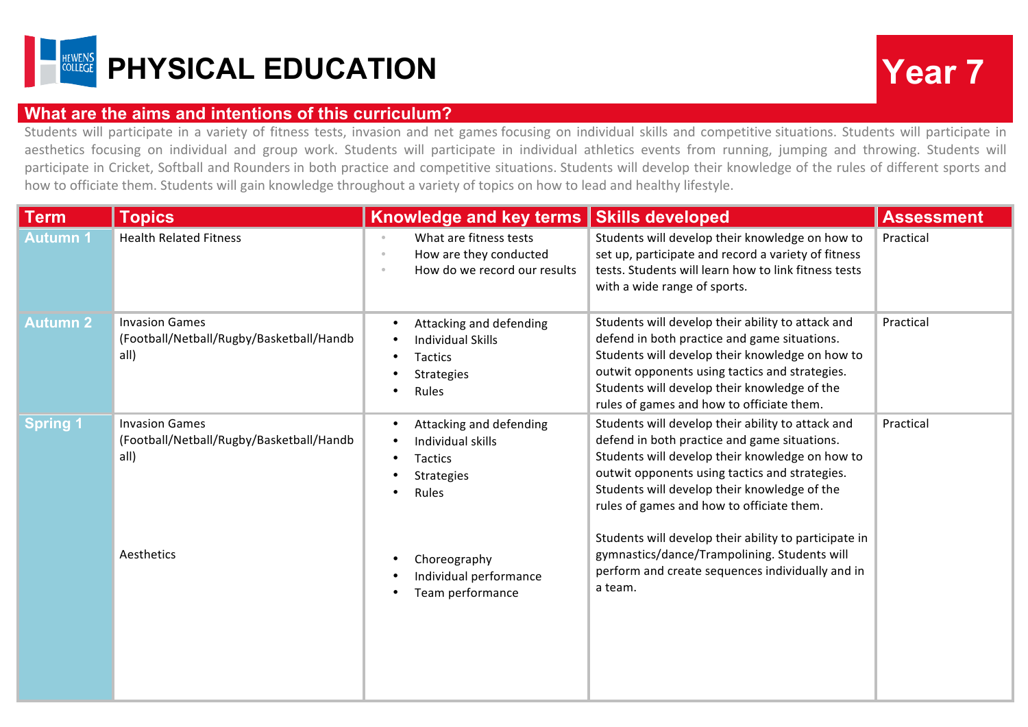

## **What are the aims and intentions of this curriculum?**

Students will participate in a variety of fitness tests, invasion and net games focusing on individual skills and competitive situations. Students will participate in aesthetics focusing on individual and group work. Students will participate in individual athletics events from running, jumping and throwing. Students will participate in Cricket, Softball and Rounders in both practice and competitive situations. Students will develop their knowledge of the rules of different sports and how to officiate them. Students will gain knowledge throughout a variety of topics on how to lead and healthy lifestyle.

| <b>Term</b>     | <b>Topics</b>                                                             | <b>Knowledge and key terms</b>                                                                                    | <b>Skills developed</b>                                                                                                                                                                                                                                                                             | <b>Assessment</b> |
|-----------------|---------------------------------------------------------------------------|-------------------------------------------------------------------------------------------------------------------|-----------------------------------------------------------------------------------------------------------------------------------------------------------------------------------------------------------------------------------------------------------------------------------------------------|-------------------|
| <b>Autumn1</b>  | <b>Health Related Fitness</b>                                             | What are fitness tests<br>$\circ$<br>How are they conducted<br>$\circ$<br>How do we record our results<br>$\circ$ | Students will develop their knowledge on how to<br>set up, participate and record a variety of fitness<br>tests. Students will learn how to link fitness tests<br>with a wide range of sports.                                                                                                      | Practical         |
| <b>Autumn 2</b> | <b>Invasion Games</b><br>(Football/Netball/Rugby/Basketball/Handb<br>all) | Attacking and defending<br><b>Individual Skills</b><br>Tactics<br>Strategies<br>Rules                             | Students will develop their ability to attack and<br>defend in both practice and game situations.<br>Students will develop their knowledge on how to<br>outwit opponents using tactics and strategies.<br>Students will develop their knowledge of the<br>rules of games and how to officiate them. | Practical         |
| <b>Spring 1</b> | <b>Invasion Games</b><br>(Football/Netball/Rugby/Basketball/Handb<br>all) | Attacking and defending<br>Individual skills<br>Tactics<br><b>Strategies</b><br>Rules                             | Students will develop their ability to attack and<br>defend in both practice and game situations.<br>Students will develop their knowledge on how to<br>outwit opponents using tactics and strategies.<br>Students will develop their knowledge of the<br>rules of games and how to officiate them. | Practical         |
|                 | Aesthetics                                                                | Choreography<br>Individual performance<br>Team performance                                                        | Students will develop their ability to participate in<br>gymnastics/dance/Trampolining. Students will<br>perform and create sequences individually and in<br>a team.                                                                                                                                |                   |